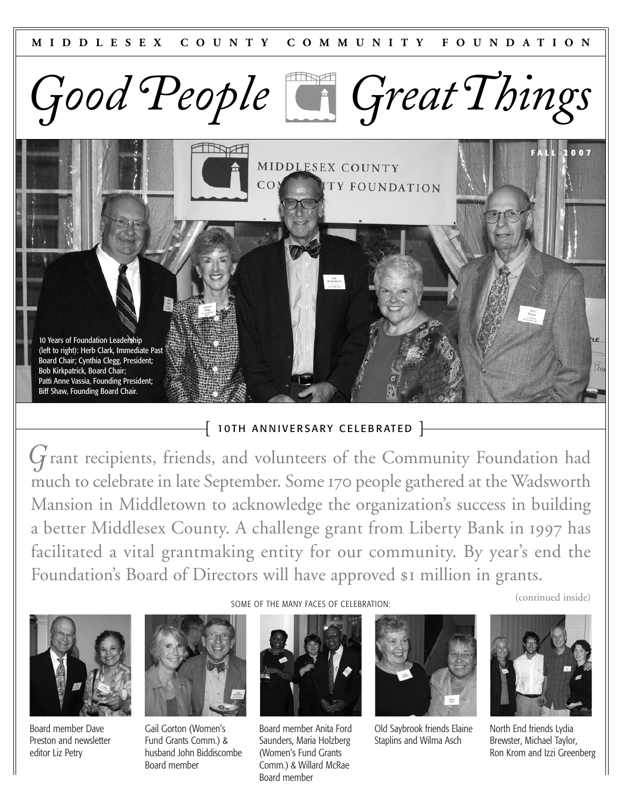



### $\left\{ \;$  10TH ANNIVERSARY CELEBRATED  $\left.\right\}$

*G* rant recipients, friends, and volunteers of the Community Foundation had much to celebrate in late September. Some 170 people gathered at the Wadsworth Mansion in Middletown to acknowledge the organization's success in building a better Middlesex County. A challenge grant from Liberty Bank in 1997 has facilitated a vital grantmaking entity for our community. By year's end the Foundation's Board of Directors will have approved \$1 million in grants.



Board member Dave Preston and newsletter editor Liz Petry



Gail Gorton (Women's Fund Grants Comm.) & husband John Biddiscombe Board member

SOME OF THE MANY FACES OF CELEBRATION:



Board member Anita Ford Saunders, Maria Holzberg (Women's Fund Grants Comm.) & Willard McRae Board member



Old Saybrook friends Elaine Staplins and Wilma Asch



(continued inside)

North End friends Lydia Brewster, Michael Taylor, Ron Krom and Izzi Greenberg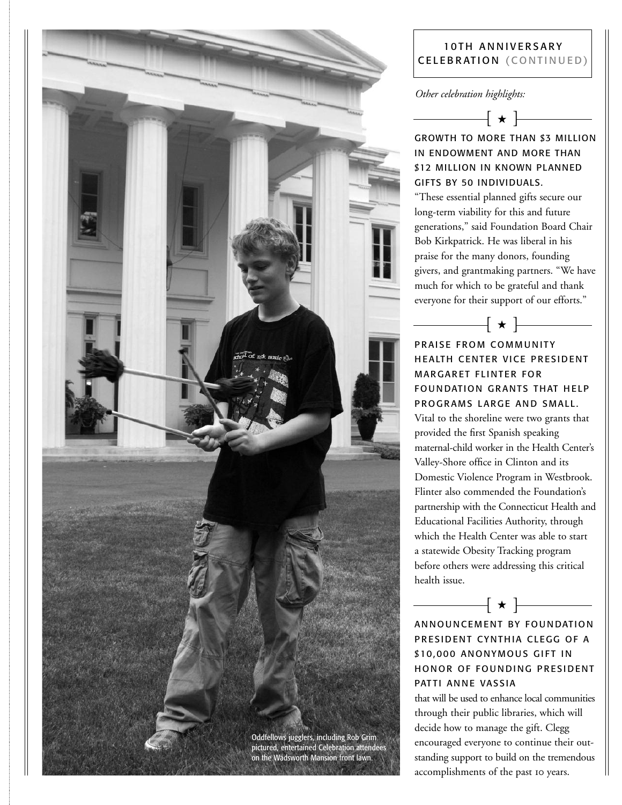

#### 10 TH ANNIVERSARY CELEBRATION (CONTINUED)

#### *Other celebration highlights:*



## GROWTH TO MORE THAN \$3 MILLION IN ENDOWMENT AND MORE THAN \$12 MILLION IN KNOWN PLANNED GIFTS BY 50 INDIVIDUALS.

"These essential planned gifts secure our long-term viability for this and future generations," said Foundation Board Chair Bob Kirkpatrick. He was liberal in his praise for the many donors, founding givers, and grantmaking partners. "We have much for which to be grateful and thank everyone for their support of our efforts."

 $\vert \star \vert$   $-$ 

PRAISE FROM COMMUNITY HEALTH CENTER VICE PRESIDENT **MARGARET FLINTER FOR** FOUNDATION GRANTS THAT HELP PROGRAMS LARGE AND SMALL. Vital to the shoreline were two grants that provided the first Spanish speaking maternal-child worker in the Health Center's Valley-Shore office in Clinton and its Domestic Violence Program in Westbrook. Flinter also commended the Foundation's partnership with the Connecticut Health and Educational Facilities Authority, through which the Health Center was able to start a statewide Obesity Tracking program before others were addressing this critical health issue.

ANNOUNCEMENT BY FOUNDATION PRESIDENT CYNTHIA CLEGG OF A \$10,000 ANONYMOUS GIFT IN HONOR OF FOUNDING PRESIDENT PATTI ANNE VASSIA

 $\begin{picture}(150,10) \put( 10,0){\line(1,0){10}} \put( 10,0){\line(1,0){10}} \put( 10,0){\line(1,0){10}} \put( 10,0){\line(1,0){10}} \put( 10,0){\line(1,0){10}} \put( 10,0){\line(1,0){10}} \put( 10,0){\line(1,0){10}} \put( 10,0){\line(1,0){10}} \put( 10,0){\line(1,0){10}} \put( 10,0){\line(1,0){10}} \put( 10,0){\line(1,0){10$ 

that will be used to enhance local communities through their public libraries, which will decide how to manage the gift. Clegg encouraged everyone to continue their outstanding support to build on the tremendous accomplishments of the past to years.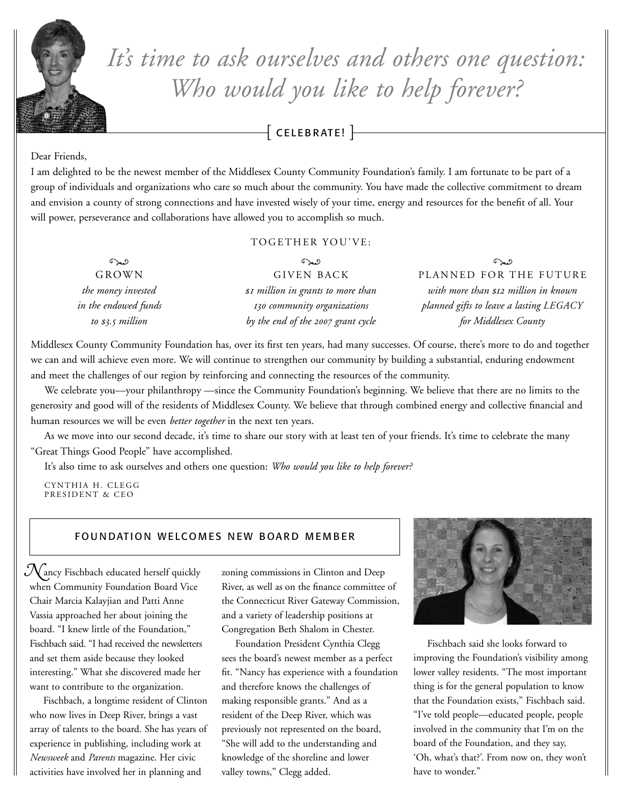

# *It' s time to ask ourselves and others one question: Who would you like to help forever?*

 $-$  CELEBRATE!  $\overline{\phantom{1}}$ 

#### Dear Friends,

I am delighted to be the newest member of the Middlesex County Community Foundation's family. I am fortunate to be part of a group of individuals and organizations who care so much about the community. You have made the collective commitment to dream and envision a county of strong connections and have invested wisely of your time, energy and resources for the benefit of all. Your will power, perseverance and collaborations have allowed you to accomplish so much.

#### TOGETHER YOU'VE:

| $\infty$             | $\Omega$                           | $\Omega$                                |
|----------------------|------------------------------------|-----------------------------------------|
| GROWN                | <b>GIVEN BACK</b>                  | PLANNED FOR THE FUTURE                  |
| the money invested   | \$1 million in grants to more than | with more than \$12 million in known    |
| in the endowed funds | 130 community organizations        | planned gifts to leave a lasting LEGACY |
| to \$3.5 million     | by the end of the 2007 grant cycle | for Middlesex County                    |

Middlesex County Community Foundation has, over its first ten years, had many successes. Of course, there's more to do and together we can and will achieve even more. We will continue to strengthen our community by building a substantial, enduring endowment and meet the challenges of our region by reinforcing and connecting the resources of the community.

We celebrate you—your philanthropy —since the Community Foundation's beginning. We believe that there are no limits to the generosity and good will of the residents of Middlesex County. We believe that through combined energy and collective financial and human resources we will be even *better together* in the next ten years.

As we move into our second decade, it's time to share our story with at least ten of your friends. It's time to celebrate the many "Great Things Good People" have accomplished.

It's also time to ask ourselves and others one question: *Who would you like to help forever?*

CYNTHIA H. CLEGG PRESIDENT & CEO

#### FOUNDATION WELCOMES NEW BOARD MEMBER

 $\mathcal N$ ancy Fischbach educated herself quickly when Community Foundation Board Vice Chair Marcia Kalayjian and Patti Anne Vassia approached her about joining the board. "I knew little of the Foundation," Fischbach said. "I had received the newsletters and set them aside because they looked interesting." What she discovered made her want to contribute to the organization.

Fischbach, a longtime resident of Clinton who now lives in Deep River, brings a vast array of talents to the board. She has years of experience in publishing, including work at *Newsweek* and *Parents* magazine. Her civic activities have involved her in planning and

zoning commissions in Clinton and Deep River, as well as on the finance committee of the Connecticut River Gateway Commission, and a variety of leadership positions at Congregation Beth Shalom in Chester.

Foundation President Cynthia Clegg sees the board's newest member as a perfect fit. "Nancy has experience with a foundation and therefore knows the challenges of making responsible grants." And as a resident of the Deep River, which was previously not represented on the board, "She will add to the understanding and knowledge of the shoreline and lower valley towns," Clegg added.



Fischbach said she looks forward to improving the Foundation's visibility among lower valley residents. "The most important thing is for the general population to know that the Foundation exists," Fischbach said. "I've told people—educated people, people involved in the community that I'm on the board of the Foundation, and they say, 'Oh, what's that?'. From now on, they won't have to wonder."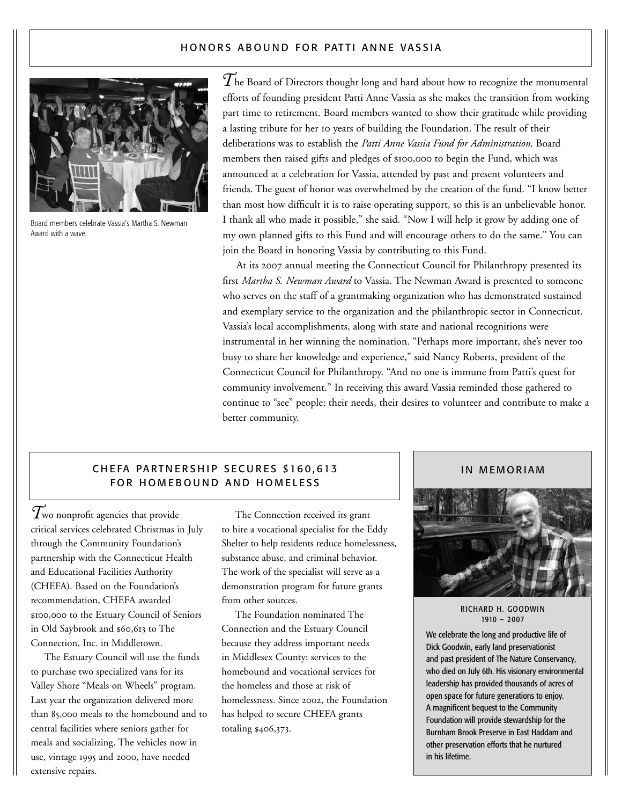#### HONORS ABOUND FOR PATTI ANNE VASSIA



Board members celebrate Vassia's Martha S. Newman Award with a wave.

 $\widetilde{T}$ he Board of Directors thought long and hard about how to recognize the monumental efforts of founding president Patti Anne Vassia as she makes the transition from working part time to retirement. Board members wanted to show their gratitude while providing a lasting tribute for her 10 years of building the Foundation. The result of their deliberations was to establish the *Patti Anne Vassia Fund for Administration*. Board members then raised gifts and pledges of \$100,000 to begin the Fund, which was announced at a celebration for Vassia, attended by past and present volunteers and friends. The guest of honor was overwhelmed by the creation of the fund. "I know better than most how difficult it is to raise operating support, so this is an unbelievable honor. I thank all who made it possible," she said. "Now I will help it grow by adding one of my own planned gifts to this Fund and will encourage others to do the same." You can join the Board in honoring Vassia by contributing to this Fund.

At its 2007 annual meeting the Connecticut Council for Philanthropy presented its first *Martha S. Newman Award* to Vassia. The Newman Award is presented to someone who serves on the staff of a grantmaking organization who has demonstrated sustained and exemplary service to the organization and the philanthropic sector in Connecticut. Vassia's local accomplishments, along with state and national recognitions were instrumental in her winning the nomination. "Perhaps more important, she's never too busy to share her knowledge and experience," said Nancy Roberts, president of the Connecticut Council for Philanthropy. "And no one is immune from Patti's quest for community involvement." In receiving this award Vassia reminded those gathered to continue to "see" people: their needs, their desires to volunteer and contribute to make a better community.

#### CHEFA PARTNERSHIP SECURES \$160,613 FOR HOMEBOUND AND HOMELESS

*T*wo nonprofit agencies that provide critical services celebrated Christmas in July through the Community Foundation's partnership with the Connecticut Health and Educational Facilities Authority (CHEFA). Based on the Foundation's recommendation, CHEFA awarded \$100,000 to the Estuary Council of Seniors in Old Saybrook and \$60,613 to The Connection, Inc. in Middletown.

The Estuary Council will use the funds to purchase two specialized vans for its Valley Shore "Meals on Wheels" program. Last year the organization delivered more than 85,000 meals to the homebound and to central facilities where seniors gather for meals and socializing. The vehicles now in use, vintage 1995 and 2000, have needed extensive repairs.

The Connection received its grant to hire a vocational specialist for the Eddy Shelter to help residents reduce homelessness, substance abuse, and criminal behavior. The work of the specialist will serve as a demonstration program for future grants from other sources.

The Foundation nominated The Connection and the Estuary Council because they address important needs in Middlesex County: services to the homebound and vocational services for the homeless and those at risk of homelessness. Since 2002, the Foundation has helped to secure CHEFA grants totaling \$406,373.

#### IN MEMORIAM



RICHARD H. GOODWIN 1910 – 2007

We celebrate the long and productive life of Dick Goodwin, early land preservationist and past president of The Nature Conservancy, who died on July 6th. His visionary environmental leadership has provided thousands of acres of open space for future generations to enjoy. A magnificent bequest to the Community Foundation will provide stewardship for the Burnham Brook Preserve in East Haddam and other preservation efforts that he nurtured in his lifetime.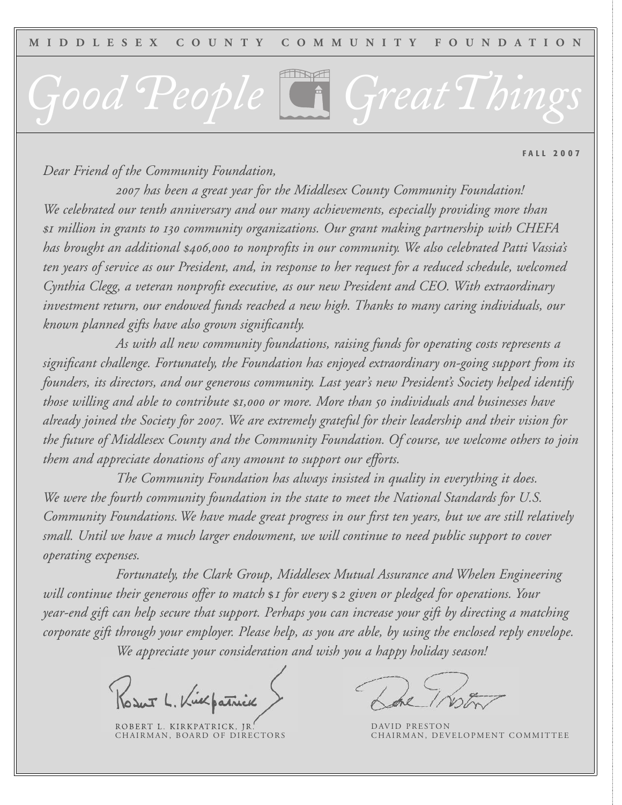# *Good People GreatThings*

**F A L L 2 0 0 7**

*Dear Friend of the Community Foundation,*

 *has been a great year for the Middlesex County Community Foundation! We celebrated our tenth anniversary and our many achievements, especially providing more than million in grants to community organizations. Our grant making partnership with CHEFA has brought an additional , to nonprofits in our community. We also celebrated Patti Vassia's* ten years of service as our President, and, in response to her request for a reduced schedule, welcomed *Cynthia Clegg, a veteran nonprofit executive, as our new President and CEO. With extraordinary investment return, our endowed funds reached a new high. Thanks to many caring individuals, our known planned gifts have also grown significantly.*

*As with all new community foundations, raising funds for operating costs represents a significant challenge. Fortunately, the Foundation has enjoyed extraordinary on-going support from its founders, its directors, and our generous community. Last year's new President's Society helped identify those willing and able to contribute , or more. More than individuals and businesses have already joined the Society for . We are extremely grateful for their leadership and their vision for the future of Middlesex County and the Community Foundation. Of course, we welcome others to join them and appreciate donations of any amount to support our efforts.*

*The Community Foundation has always insisted in quality in everything it does. We were the fourth community foundation in the state to meet the National Standards for U.S. Community Foundations.We have made great progress in our first ten years, but we are still relatively small. Until we have a much larger endowment, we will continue to need public support to cover operating expenses.*

*Fortunately, the Clark Group, Middlesex Mutual Assurance and Whelen Engineering will continue their generous offer to match for every given or pledged for operations. Your year-end gift can help secure that support. Perhaps you can increase your gift by directing a matching corporate gift through your employer. Please help, as you are able, by using the enclosed reply envelope. We appreciate your consideration and wish you a happy holiday season!*

Vilpatrick

ROBERT L. KIRKPATRICK, JR.<br>CHAIRMAN, BOARD OF DIRECTORS

DAVID PRESTON<br>CHAIRMAN, DEVELOPMENT COMMITTEE